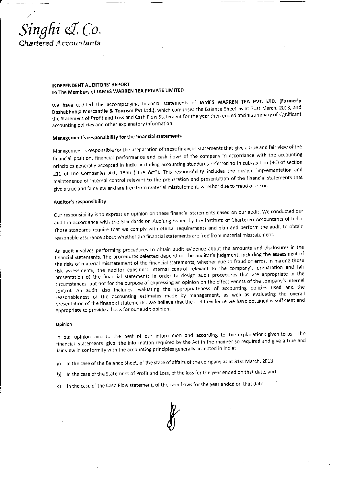

#### INDEPENDENT AUDITORS' REPORT To The Members of JAMES WARREN TEA PRIVATE LIMITED

We have audited the accompanying financial statements of JAMES WARREN TEA PVT. LTD. (Formerly Dashabhooja Mercantile & Tourism Pvt Ltd.), which comprises the Balance Sheet as at 31st March, 2013, and the Statement of Profit and Loss and Cash Flow Statement for the year then ended and a summary of significant accounting policies and other explanatory information.

# Management's responsibility for the financial statements

Management is responsible for the preparation of these financial statements that give a true and fair view of the financial position, financial performance and cash flows of the company in accordance with the accounting principles generally accepted in India, including accounting standards referred to in sub-section (3C) of section 211 of the Companies Act, 1956 ("the Act"). This responsibility includes the design, implementation and maintenance of internal control relevant to the preparation and presentation of the financial statements that give a true and fair view and are free from material misstatement, whether due to fraud or error.

#### Auditor's responsibility

Our responsibility is to express an opinion on these financial statements based on our audit. We conducted our audit in accordance with the Standards on Auditing issued by the Institute of Chartered Accountants of India. Those standards require that we comply with ethical requirements and plan and perform the audit to obtain reasonable assurance about whether the financial statements are free from material misstatement.

An audit involves performing procedures to obtain audit evidence about the amounts and disclosures in the financial statements. The procedures selected depend on the auditor's judgment, including the assessment of the risks of material misstatement of the financial statements, whether due to fraud or error. In making those risk assessments, the auditor considers internal control relevant to the company's preparation and fair presentation of the financial statements in order to design audit procedures that are appropriate in the circumstances, but not for the purpose of expressing an opinion on the effectiveness of the company's internal control. An audit also includes evaluating the appropriateness of accounting policies used and the reasonableness of the accounting estimates made by management, as well as evaluating the overall presentation of the financial statements. We believe that the audit evidence we have obtained is sufficient and appropriate to provide a basis for our audit opinion.

#### Opinion

In our opinion and to the best of our information and according to the explanations given to us, the financial statements give the information required by the Act in the manner so required and give a true and fair view in conformity with the accounting principles generally accepted in India:

- a) In the case of the Balance Sheet, of the state of affairs of the company as at 31st March, 2013
- b) In the case of the Statement of Profit and Loss, of the loss for the year ended on that date, and
- In the case of the Cash Flow statement, of the cash flows for the year ended on that date. c)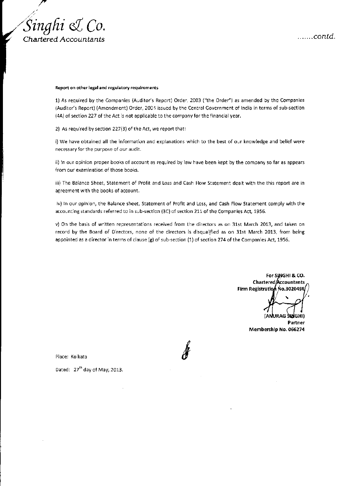

..**.....contd**.

#### Report on other legal and regulatory requirements

1) As required by the Companies (Auditor's Report) Order, 2003 ("the Order") as amended by the Companies (Auditor's Report) (Amendment) Order, 2004 issued by the Central Government of India in terms of sub-section (4A) of section 227 of the Act is not applicable to the company for the financial year.

2) As required by section 227(3) of the Act, we report that:

i) We have obtained all the information and explanations which to the best of our knowledge and belief were necessary for the purpose of our audit.

ii) In our opinion proper books of account as required by law have been kept by the company so far as appears from our examination of those books.

iii) The Balance Sheet, Statement of Profit and Loss and Cash Flow Statement dealt with the this report are in agreement with the books of account.

iv) In our opinion, the Balance sheet, Statement of Profit and Loss, and Cash Flow Statement comply with the accounting standards referred to in sub-section (3C) of section 211 of the Companies Act, 1956.

v) On the basis of written representations received from the directors as on 31st March 2013, and taken on record by the Board of Directors, none of the directors is disqualified as on 31st March 2013, from being appointed as a director in terms of clause (g) of sub-section (1) of section 274 of the Companies Act, 1956.

For SINGHI & CO. Chartered/Accountants **Firm Registration** No.302049E

(ANURAG SUNGHI) Partner

Membership No. 066274

Place: Kolkata

Dated: 27<sup>th</sup> day of May, 2013.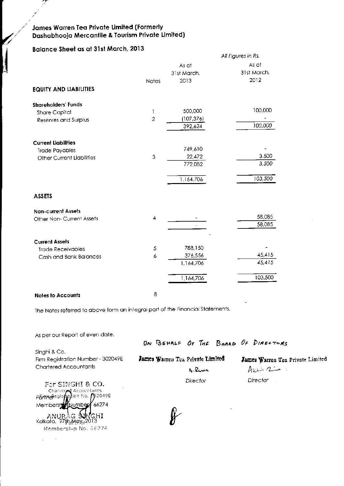# James Warren Tea Private Limited (Formerly Dashabhooja Mercantile & Tourism Private Limited)

# **Balance Sheet as at 31st March, 2013**

|                                  |                | All Figures in Rs. |             |
|----------------------------------|----------------|--------------------|-------------|
|                                  |                | As at              | As at       |
|                                  |                | 31st March,        | 31st March, |
|                                  | <b>Notes</b>   | 2013               | 2012        |
| <b>EQUITY AND LIABILITIES</b>    |                |                    |             |
| <b>Shareholders' Funds</b>       |                |                    |             |
| Share Capital                    | 1              | 500,000            | 100,000     |
| Reserves and Surplus             | $\overline{2}$ | (107, 376)         |             |
|                                  |                | 392,624            | 100,000     |
| <b>Current Liabilities</b>       |                |                    |             |
| <b>Trade Payables</b>            |                | 749,610            |             |
| <b>Other Current Liabilities</b> | 3              | 22,472             | 3,500       |
|                                  |                | 772,082            | 3,500       |
|                                  |                | 1,164,706          | 103,500     |
| <b>ASSETS</b>                    |                |                    |             |
| Non-current Assets               |                |                    |             |
| Other Non- Current Assets        | 4              |                    | 58,085      |
|                                  |                |                    | 58,085      |
| <b>Current Assets</b>            |                |                    |             |
| <b>Trade Receivables</b>         | 5              | 788,150            |             |
| Cash and Bank Balances           | 6              | 376,556            | 45,415      |
|                                  |                | 1,164,706          | 45,415      |
|                                  |                | 1,164,706          | 103,500     |
| <b>Notes to Accounts</b>         | 8              |                    |             |
|                                  |                |                    |             |

The Notes referred to above form an integral part of the Financial Statements.

As per our Report of even date.

Singhi & Co.

 $\bar{z}$ 

# ON BEHALF OF THE BOARD OF DIRECTORS

| Firm Registration Number - 302049E        | James Warren Tea Private Limited | James Warren Tea Private Limited |
|-------------------------------------------|----------------------------------|----------------------------------|
| Chartered Accountants                     | s. luga                          | April $2$ $\rightarrow$          |
| For SINGHI & CO.<br>Chartered Accountants | Director                         | Director                         |

For SING Chartere Partneregis (p) ion No. (1) 2049E Membership Number  $\frac{7}{66274}$ ANURAG SAGE<br>Kolkata, 27 hamax, 2013 ¦GHI Membership No. 66274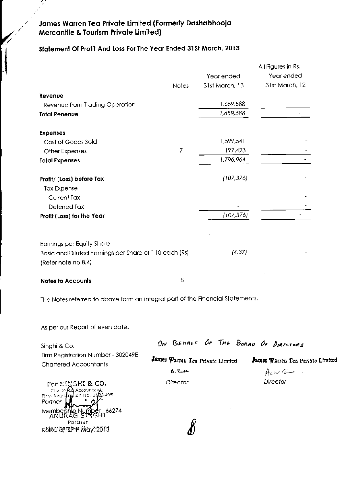# James Warren Tea Private Limited (Formerly Dashabhooja Mercantile & Tourism Private Limited)

7

# Statement Of Profit And Loss For The Year Ended 31St March, 2013

|                                                                                                                  |              |                | All Figures in Rs. |
|------------------------------------------------------------------------------------------------------------------|--------------|----------------|--------------------|
|                                                                                                                  |              | Year ended     | Year ended         |
|                                                                                                                  | <b>Notes</b> | 31st March, 13 | 31st March, 12     |
| Revenue                                                                                                          |              |                |                    |
| Revenue from Trading Operation                                                                                   |              | 1,689,588      |                    |
| <b>Total Renenue</b>                                                                                             |              | 1,689,588      |                    |
| <b>Expenses</b>                                                                                                  |              |                |                    |
| Cost of Goods Sold                                                                                               |              | 1,599,541      |                    |
| Other Expenses                                                                                                   | 7            | 197,423        |                    |
| <b>Total Expenses</b>                                                                                            |              | 1,796,964      |                    |
| Profit/ (Loss) before Tax                                                                                        |              | (107, 376)     |                    |
| <b>Tax Expense</b>                                                                                               |              |                |                    |
| Current Tax                                                                                                      |              |                |                    |
| Deferred Tax                                                                                                     |              |                |                    |
| Profit (Loss) for the Year                                                                                       |              | (107, 376)     |                    |
|                                                                                                                  |              |                |                    |
| <b>Earnings per Equity Share</b><br>Basic and Diluted Earnings per Share of `10 each (Rs)<br>(Refer note no 8.4) |              | (4.37)         |                    |
| <b>Notes to Accounts</b>                                                                                         | 8            |                |                    |

The Notes referred to above form an integral part of the Financial Statements.

As per our Report of even date.

| Singhi & Co.                                                       | ON BEHALF OF THE BOARD OF DIRECTORS |                                  |
|--------------------------------------------------------------------|-------------------------------------|----------------------------------|
| Firm Registration Number - 302049E<br><b>Chartered Accountants</b> | James Warren Tea Private Limited    | James Warren Tea Private Limited |
|                                                                    | A. lui                              | Arcin $2$                        |
| For SINGHI & CO.<br>Chartered Accountants                          | Director                            | Director                         |

For Ch Firm Regi Partner Membership Num<br>ANURAG ST 66274 Partner Kölrenberzhin May, 2073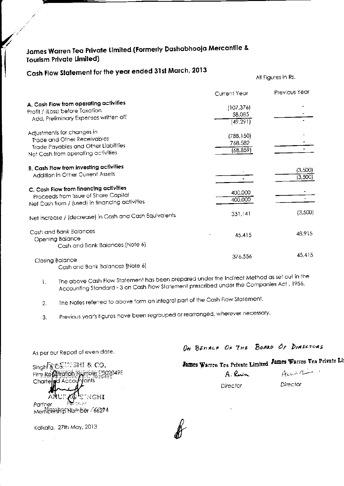# James Warren Tea Private Limited (Formerly Dashabhooja Mercantile & **Tourism Private Limited)**

|  | <b>Article 1315 Flow Statement for the year ended 31st March, 2015</b> |
|--|------------------------------------------------------------------------|
|--|------------------------------------------------------------------------|

|                                                        | Current Year        | Previous Year |
|--------------------------------------------------------|---------------------|---------------|
| A. Cash Flow from operating activities                 | (107, 376)          |               |
| Profit / (Loss) before Taxation                        |                     |               |
| Add, Preliminary Expenses written off                  | 58,085<br>(49, 291) |               |
| Adjustments for changes in                             | (788, 150)          |               |
| <b>Trade and Other Receivables</b>                     | 768,582             |               |
| Trade Payables and Other Liabilities                   | (68, 859)           |               |
| Net Cash from operating activities                     |                     |               |
| <b>8. Cash Flow from investing activities</b>          |                     | (3,500)       |
| Addition in Other Current Assets                       |                     | (3,500)       |
| C. Cash Flow from financing activities                 |                     |               |
| Proceeds from Issue of Share Capital                   | 400,000             |               |
| Net Cash from / (used) in financing activities         | 400,000             |               |
| Net increase / (decrease) in Cash and Cash Equivalents | 331,141             | (3,500)       |
| Cash and Bank Balonces                                 |                     | 48,915        |
| Opening Balance                                        | 45,415              |               |
| Cash and Bank Balances [Note 6]                        |                     |               |
|                                                        | 376,556             | 45,415        |
| Closing Balance                                        |                     |               |

Cash and Bank Balances [Note 6]

The above Cash Flow Statement has been prepared under the Indirect Method as set out in the  $\mathbf{1}$ . Accounting Standard - 3 on Cash Flow Statement prescribed under the Companies Act, 1956.

The Notes referred to above form an integral part of the Cash Flow Statement.  $2.$ 

Previous year's figures have been regrouped or rearranged, wherever necessary. 3.

As per our Report of even date.

ON BEHALF OF THE BOARD OF DIMECTORS

James Warren Tea Private Limited James Warren Tea Private Li

All Figures in Rs.

Auchen

Director

A. Ruia

Director

Singht & CO. Firm Repetration ) Imposition 302049E Charlered Accountants ANUE STNGHI Partner Membership Number - 66274

Kolkata, 27th May, 2013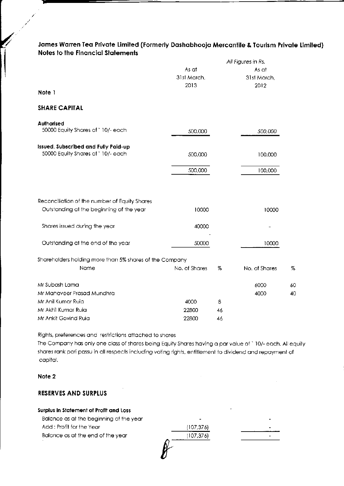| James Warren Tea Private Limited (Formerly Dashabhooja Mercantile & Tourism Private Limited) |  |
|----------------------------------------------------------------------------------------------|--|
| Notes to the Financial Statements                                                            |  |

|                                                         | All Figures in Rs. |    |               |    |
|---------------------------------------------------------|--------------------|----|---------------|----|
|                                                         | As at              |    | As at         |    |
|                                                         | 31st March,        |    | 31st March,   |    |
|                                                         | 2013               |    | 2012          |    |
| Note 1                                                  |                    |    |               |    |
| <b>SHARE CAPITAL</b>                                    |                    |    |               |    |
| <b>Authorised</b>                                       |                    |    |               |    |
| 50000 Equity Shares of 10/-each                         | 500,000            |    | 500,000       |    |
| Issued, Subscribed and Fully Paid-up                    |                    |    |               |    |
| 50000 Equity Shares of 10/- each                        | 500,000            |    | 100,000       |    |
|                                                         | 500,000            |    | 100,000       |    |
|                                                         |                    |    |               |    |
| Reconciliation of the number of Equity Shares           |                    |    |               |    |
| Outstanding at the beginning of the year                | 10000              |    | 10000         |    |
| Shares issued during the year                           | 40000              |    |               |    |
| Outstanding at the end of the year                      | 50000              |    | 10000         |    |
| Shareholders holding more than 5% shares of the Company |                    |    |               |    |
| Name                                                    | No. of Shares      | %  | No. of Shares | %  |
| Mr Subash Lama                                          |                    |    | 6000          | 60 |
| Mr Mahaveer Prasad Mundhra                              |                    |    | 4000          | 40 |
| Mr Anil Kumar Ruia                                      | 4000               | 8  |               |    |
| Mr Akhil Kumar Ruia                                     | 22800              | 46 |               |    |
| Mr Ankit Govind Ruig                                    | 22800              | 46 |               |    |

Rights, preferences and restrictions attached to shares

The Company has only one class of shares being Equity Shares having a par value of `10/- each. All equity shares rank pari passu in all respects including voting rights, entitlement to dividend and repayment of capital.

### Note 2

# RESERVES AND SURPLUS

### Surplus in Statement of Profit and Loss

Balance as at the beginning of the year Add : Profit for the Year Balance as at the end of the year



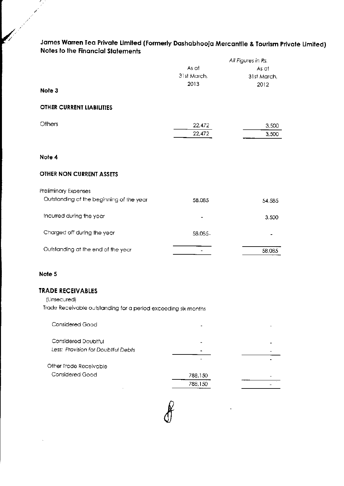|                                   | James Warren Tea Private Limited (Formerly Dashabhooja Mercantile & Tourism Private Limited) |  |
|-----------------------------------|----------------------------------------------------------------------------------------------|--|
| Notes to the Financial Statements |                                                                                              |  |

|                                          |             | All Figures in Rs. |
|------------------------------------------|-------------|--------------------|
|                                          | As at       | As at              |
|                                          | 31st March, | 31st March,        |
|                                          | 2013        | 2012               |
| Note 3                                   |             |                    |
| <b>OTHER CURRENT LIABILITIES</b>         |             |                    |
| Others                                   | 22,472      | 3,500              |
|                                          | 22,472      | 3,500              |
| Note 4                                   |             |                    |
| OTHER NON CURRENT ASSETS                 |             |                    |
| Preliminary Expenses                     |             |                    |
| Outstanding at the beginning of the year | 58,085      | 54,585             |
| Incurred during the year                 |             | 3,500              |
| Charged off during the year              | 58,085.     |                    |
| Outstanding at the end of the year       |             | 58,085             |

# Note 5

Ζ,

 $\mathscr{U}$ 

# **TRADE RECEIVABLES**

(Unsecured) Trade Receivable outstanding for a period exceeding six months

| Considered Good                    |         |  |
|------------------------------------|---------|--|
| Considered Doubtful                |         |  |
| Less: Provision for Doubtful Debts |         |  |
|                                    |         |  |
| Other Trade Receivable             |         |  |
| Considered Good                    | 788,150 |  |
| $\bullet$                          | 788,150 |  |
|                                    |         |  |

 $\cancel{k}$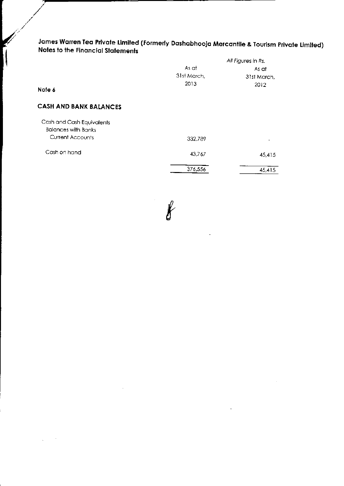# James Warren Tea Private Limited (Formerly Dashabhooja Mercantile & Tourism Private Limited) Notes to the Financial Statements

|                                                         | All Figures in Rs. |             |
|---------------------------------------------------------|--------------------|-------------|
|                                                         | As at              | As at       |
|                                                         | 31st March,        | 31st March, |
| Note 6                                                  | 2013               | 2012        |
| <b>CASH AND BANK BALANCES</b>                           |                    |             |
| Cash and Cash Equivalents<br><b>Balances with Banks</b> |                    |             |
| <b>Current Accounts</b>                                 | 332,789            | ۰           |
| Cash on hand                                            | 43,767             | 45,415      |
|                                                         | 376,556            | 45,415      |

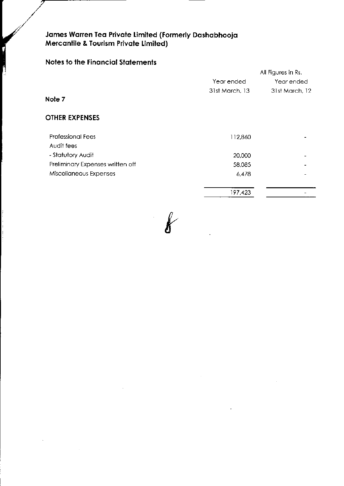# James Warren Tea Private Limited (Formerly Dashabhooja<br>Mercantile & Tourism Private Limited)

# Notes to the Financial Statements

|                                  | All Figures in Rs. |                |
|----------------------------------|--------------------|----------------|
|                                  | Year ended         | Year ended     |
|                                  | 31st March, 13     | 31st March, 12 |
| Note 7                           |                    |                |
| <b>OTHER EXPENSES</b>            |                    |                |
| <b>Professional Fees</b>         | 112,860            |                |
| Audit fees                       |                    |                |
| - Statutory Audit                | 20,000             |                |
| Preliminary Expenses written off | 58,085             |                |
| Miscellaneous Expenses           | 6,478              |                |
|                                  | 197,423            |                |
|                                  |                    |                |

 $\ell$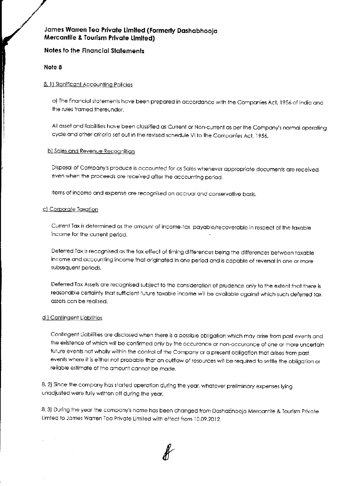# James Warren Tea Private Limited (Formerly Dashabhooja Mercantile & Tourism Private Limited)

# Notes to the Financial Statements

### Note 8

## 8. 1) Significant Accounting Policies

a) The financial statements have been prepared in accordance with the Companies Act, 1956 of India and the rules framed thereunder.

All asset and liabilities have been classified as Current or Non-current as per the Company's normal operating cycle and other criteria set out in the revised schedule VI to the Companies Act, 1956.

### b) Sales and Revenue Recognition

Disposal of Company's produce is accounted for as Sales whenever appropriate documents are received even when the proceeds are received after the accounting period.

Items of income and expense are recognised on accrual and conservative basis.

### c) Corporate Taxation

Current Tax is determined as the amount of income-tax payable/recoverable in respect of the taxable income for the current period.

Deferred Tax is recognised as the tax effect of timing differences being the differences between taxable income and accounting income that originated in one period and is capable of reversal in one or more subsequent periods.

Deferred Tax Assets are recognised subject to the consideration of prudence only to the extent that there is reasonable certainty that sufficient future taxable income will be available against which such deferred tax assets can be realised.

### d.) Contingent Liabilities

 $\sim 10^{-1}$ 

Contingent Liabilities are disclosed when there is a possible obligation which may arise from past events and the existence of which will be confirmed only by the occurance or non-occurance of one or more uncertain future events not wholly within the control of the Company or a present obligation that arises from past events where it is either not probable that an outflow of resources will be required to settle the obligation or reliable estimate of the amount cannot be made.

8. 2) Since the company has started operation during the year, whatever preliminary expenses lying unadjusted were fully written off during the year.

8. 3) During the year the company's name has been changed from Dashabhooja Mercantile & Tourism Private Limted to James Warren Tea Private Limited with effect from 10.09.2012.